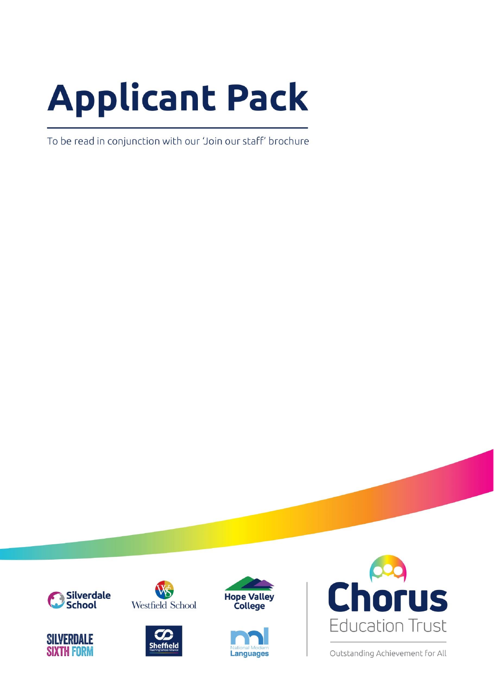# **Applicant Pack**

To be read in conjunction with our 'Join our staff' brochure















Outstanding Achievement for All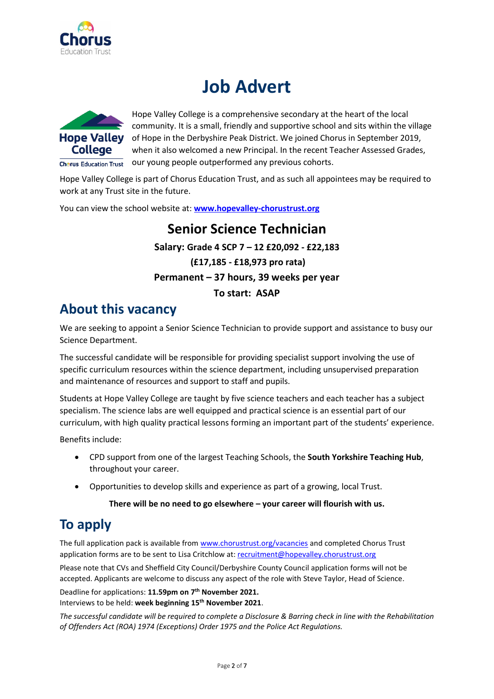

## **Job Advert**



Hope Valley College is a comprehensive secondary at the heart of the local community. It is a small, friendly and supportive school and sits within the village Hope Valley of Hope in the Derbyshire Peak District. We joined Chorus in September 2019, when it also welcomed a new Principal. In the recent Teacher Assessed Grades,  $\overline{\mathsf{Ch}^{\mathsf{erus}}$  Education Trust our young people outperformed any previous cohorts.

Hope Valley College is part of Chorus Education Trust, and as such all appointees may be required to work at any Trust site in the future.

You can view the school website at: **[www.hopevalley-chorustrust.org](http://www.hopevalley-chorustrust.org/)**

### **Senior Science Technician Salary: Grade 4 SCP 7 – 12 £20,092 - £22,183 (£17,185 - £18,973 pro rata) Permanent – 37 hours, 39 weeks per year To start: ASAP**

## **About this vacancy**

We are seeking to appoint a Senior Science Technician to provide support and assistance to busy our Science Department.

The successful candidate will be responsible for providing specialist support involving the use of specific curriculum resources within the science department, including unsupervised preparation and maintenance of resources and support to staff and pupils.

Students at Hope Valley College are taught by five science teachers and each teacher has a subject specialism. The science labs are well equipped and practical science is an essential part of our curriculum, with high quality practical lessons forming an important part of the students' experience.

Benefits include:

- CPD support from one of the largest Teaching Schools, the **South Yorkshire Teaching Hub**, throughout your career.
- Opportunities to develop skills and experience as part of a growing, local Trust.

#### **There will be no need to go elsewhere – your career will flourish with us.**

## **To apply**

The full application pack is available from [www.chorustrust.org/vacancies](http://www.chorustrust.org/vacancies) and completed Chorus Trust application forms are to be sent to Lisa Critchlow at[: recruitment@hopevalley.chorustrust.org](mailto:recruitment@hopevalley.chorustrust.org)

Please note that CVs and Sheffield City Council/Derbyshire County Council application forms will not be accepted. Applicants are welcome to discuss any aspect of the role with Steve Taylor, Head of Science.

Deadline for applications: **11.59pm on 7 th November 2021.** Interviews to be held: **week beginning 15 th November 2021**.

*The successful candidate will be required to complete a Disclosure & Barring check in line with the Rehabilitation of Offenders Act (ROA) 1974 (Exceptions) Order 1975 and the Police Act Regulations.*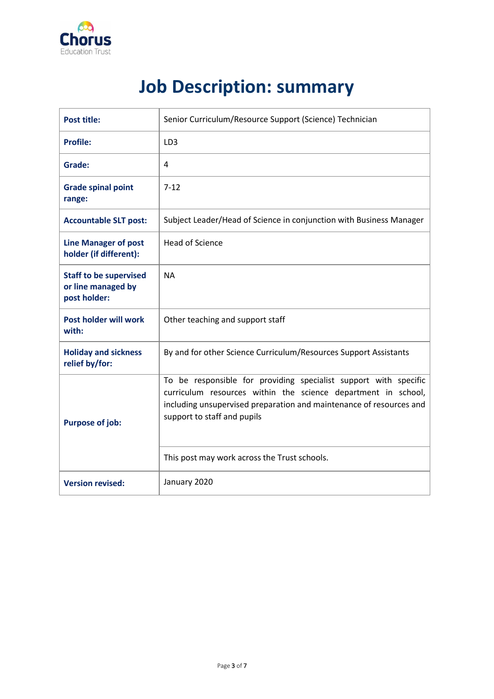

# **Job Description: summary**

| <b>Post title:</b>                                                  | Senior Curriculum/Resource Support (Science) Technician                                                                                                                                                                                                                                 |  |  |
|---------------------------------------------------------------------|-----------------------------------------------------------------------------------------------------------------------------------------------------------------------------------------------------------------------------------------------------------------------------------------|--|--|
| <b>Profile:</b>                                                     | LD <sub>3</sub>                                                                                                                                                                                                                                                                         |  |  |
| Grade:                                                              | 4                                                                                                                                                                                                                                                                                       |  |  |
| <b>Grade spinal point</b><br>range:                                 | $7-12$                                                                                                                                                                                                                                                                                  |  |  |
| <b>Accountable SLT post:</b>                                        | Subject Leader/Head of Science in conjunction with Business Manager                                                                                                                                                                                                                     |  |  |
| <b>Line Manager of post</b><br>holder (if different):               | <b>Head of Science</b>                                                                                                                                                                                                                                                                  |  |  |
| <b>Staff to be supervised</b><br>or line managed by<br>post holder: | <b>NA</b>                                                                                                                                                                                                                                                                               |  |  |
| Post holder will work<br>with:                                      | Other teaching and support staff                                                                                                                                                                                                                                                        |  |  |
| <b>Holiday and sickness</b><br>relief by/for:                       | By and for other Science Curriculum/Resources Support Assistants                                                                                                                                                                                                                        |  |  |
| <b>Purpose of job:</b>                                              | To be responsible for providing specialist support with specific<br>curriculum resources within the science department in school,<br>including unsupervised preparation and maintenance of resources and<br>support to staff and pupils<br>This post may work across the Trust schools. |  |  |
| <b>Version revised:</b>                                             | January 2020                                                                                                                                                                                                                                                                            |  |  |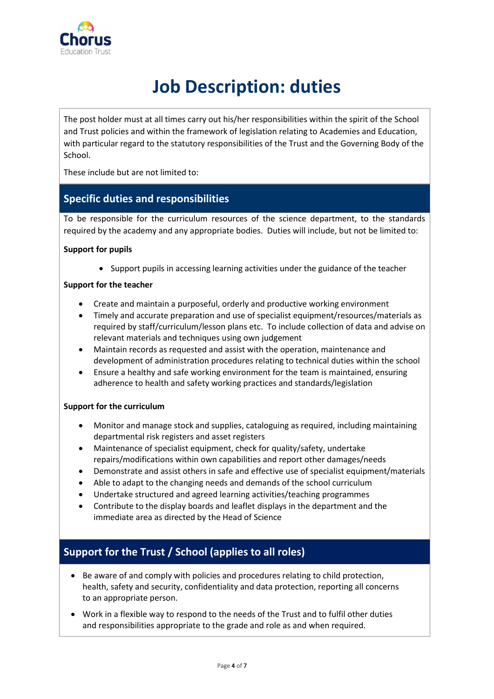

# **Job Description: duties**

The post holder must at all times carry out his/her responsibilities within the spirit of the School and Trust policies and within the framework of legislation relating to Academies and Education, with particular regard to the statutory responsibilities of the Trust and the Governing Body of the School.

These include but are not limited to:

#### **Specific duties and responsibilities**

To be responsible for the curriculum resources of the science department, to the standards required by the academy and any appropriate bodies. Duties will include, but not be limited to:

#### **Support for pupils**

• Support pupils in accessing learning activities under the guidance of the teacher

#### **Support for the teacher**

- Create and maintain a purposeful, orderly and productive working environment
- Timely and accurate preparation and use of specialist equipment/resources/materials as required by staff/curriculum/lesson plans etc. To include collection of data and advise on relevant materials and techniques using own judgement
- Maintain records as requested and assist with the operation, maintenance and development of administration procedures relating to technical duties within the school
- Ensure a healthy and safe working environment for the team is maintained, ensuring adherence to health and safety working practices and standards/legislation

#### **Support for the curriculum**

- Monitor and manage stock and supplies, cataloguing as required, including maintaining departmental risk registers and asset registers
- Maintenance of specialist equipment, check for quality/safety, undertake repairs/modifications within own capabilities and report other damages/needs
- Demonstrate and assist others in safe and effective use of specialist equipment/materials
- Able to adapt to the changing needs and demands of the school curriculum
- Undertake structured and agreed learning activities/teaching programmes
- Contribute to the display boards and leaflet displays in the department and the immediate area as directed by the Head of Science

#### **Support for the Trust / School (applies to all roles)**

- Be aware of and comply with policies and procedures relating to child protection, health, safety and security, confidentiality and data protection, reporting all concerns to an appropriate person.
- Work in a flexible way to respond to the needs of the Trust and to fulfil other duties and responsibilities appropriate to the grade and role as and when required.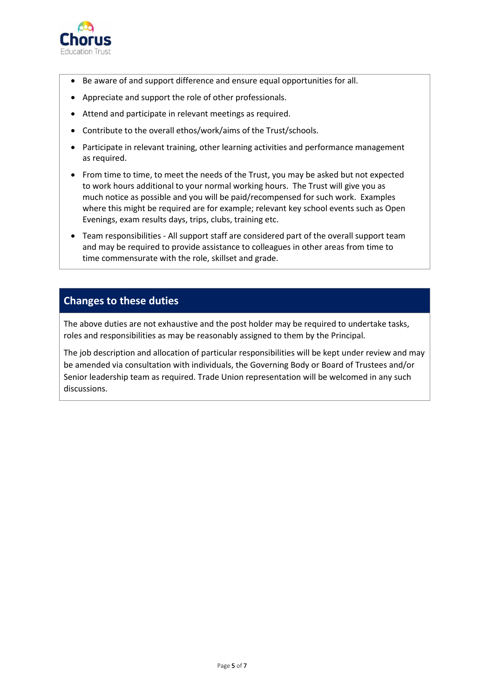

- Be aware of and support difference and ensure equal opportunities for all.
- Appreciate and support the role of other professionals.
- Attend and participate in relevant meetings as required.
- Contribute to the overall ethos/work/aims of the Trust/schools.
- Participate in relevant training, other learning activities and performance management as required.
- From time to time, to meet the needs of the Trust, you may be asked but not expected to work hours additional to your normal working hours. The Trust will give you as much notice as possible and you will be paid/recompensed for such work. Examples where this might be required are for example; relevant key school events such as Open Evenings, exam results days, trips, clubs, training etc.
- Team responsibilities All support staff are considered part of the overall support team and may be required to provide assistance to colleagues in other areas from time to time commensurate with the role, skillset and grade.

#### **Changes to these duties**

The above duties are not exhaustive and the post holder may be required to undertake tasks, roles and responsibilities as may be reasonably assigned to them by the Principal.

The job description and allocation of particular responsibilities will be kept under review and may be amended via consultation with individuals, the Governing Body or Board of Trustees and/or Senior leadership team as required. Trade Union representation will be welcomed in any such discussions.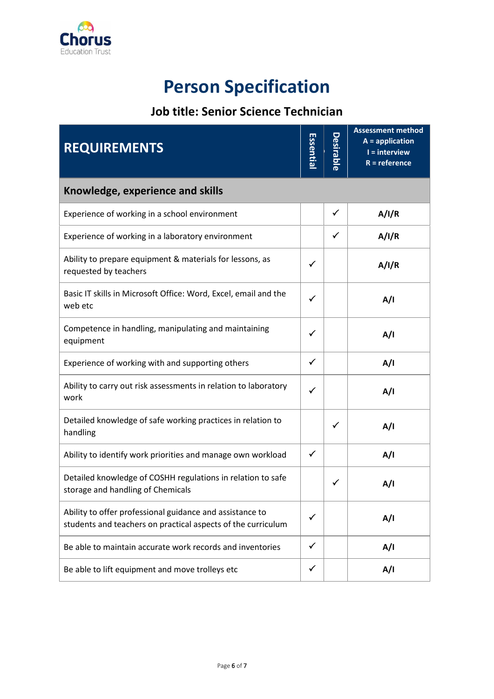

# **Person Specification**

## **Job title: Senior Science Technician**

| <b>REQUIREMENTS</b>                                                                                                      |              | <b>Desirable</b> | <b>Assessment method</b><br>$A =$ application<br>I = interview<br>$R = reference$ |  |  |
|--------------------------------------------------------------------------------------------------------------------------|--------------|------------------|-----------------------------------------------------------------------------------|--|--|
| Knowledge, experience and skills                                                                                         |              |                  |                                                                                   |  |  |
| Experience of working in a school environment                                                                            |              | $\checkmark$     | A/I/R                                                                             |  |  |
| Experience of working in a laboratory environment                                                                        |              | ✓                | A/I/R                                                                             |  |  |
| Ability to prepare equipment & materials for lessons, as<br>requested by teachers                                        |              |                  | A/I/R                                                                             |  |  |
| Basic IT skills in Microsoft Office: Word, Excel, email and the<br>web etc                                               | ✓            |                  | A/I                                                                               |  |  |
| Competence in handling, manipulating and maintaining<br>equipment                                                        | ✓            |                  | A/I                                                                               |  |  |
| Experience of working with and supporting others                                                                         | ✓            |                  | A/I                                                                               |  |  |
| Ability to carry out risk assessments in relation to laboratory<br>work                                                  |              |                  | A/I                                                                               |  |  |
| Detailed knowledge of safe working practices in relation to<br>handling                                                  |              | ✓                | A/I                                                                               |  |  |
| Ability to identify work priorities and manage own workload                                                              | $\checkmark$ |                  | A/I                                                                               |  |  |
| Detailed knowledge of COSHH regulations in relation to safe<br>storage and handling of Chemicals                         |              | ✓                | A/I                                                                               |  |  |
| Ability to offer professional guidance and assistance to<br>students and teachers on practical aspects of the curriculum |              |                  | A/I                                                                               |  |  |
| Be able to maintain accurate work records and inventories                                                                | ✓            |                  | A/I                                                                               |  |  |
| Be able to lift equipment and move trolleys etc                                                                          | ✓            |                  | A/I                                                                               |  |  |